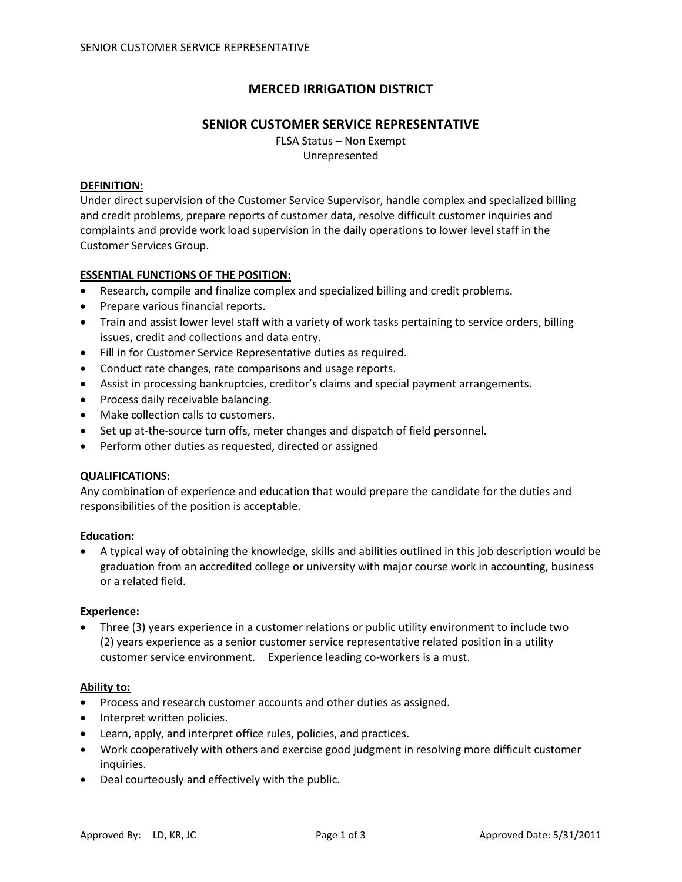# **MERCED IRRIGATION DISTRICT**

## **SENIOR CUSTOMER SERVICE REPRESENTATIVE**

FLSA Status – Non Exempt Unrepresented

#### **DEFINITION:**

Under direct supervision of the Customer Service Supervisor, handle complex and specialized billing and credit problems, prepare reports of customer data, resolve difficult customer inquiries and complaints and provide work load supervision in the daily operations to lower level staff in the Customer Services Group.

### **ESSENTIAL FUNCTIONS OF THE POSITION:**

- Research, compile and finalize complex and specialized billing and credit problems.
- Prepare various financial reports.
- Train and assist lower level staff with a variety of work tasks pertaining to service orders, billing issues, credit and collections and data entry.
- Fill in for Customer Service Representative duties as required.
- Conduct rate changes, rate comparisons and usage reports.
- Assist in processing bankruptcies, creditor's claims and special payment arrangements.
- Process daily receivable balancing.
- Make collection calls to customers.
- Set up at-the-source turn offs, meter changes and dispatch of field personnel.
- Perform other duties as requested, directed or assigned

#### **QUALIFICATIONS:**

Any combination of experience and education that would prepare the candidate for the duties and responsibilities of the position is acceptable.

#### **Education:**

• A typical way of obtaining the knowledge, skills and abilities outlined in this job description would be graduation from an accredited college or university with major course work in accounting, business or a related field.

#### **Experience:**

• Three (3) years experience in a customer relations or public utility environment to include two (2) years experience as a senior customer service representative related position in a utility customer service environment. Experience leading co-workers is a must.

#### **Ability to:**

- Process and research customer accounts and other duties as assigned.
- Interpret written policies.
- Learn, apply, and interpret office rules, policies, and practices.
- Work cooperatively with others and exercise good judgment in resolving more difficult customer inquiries.
- Deal courteously and effectively with the public.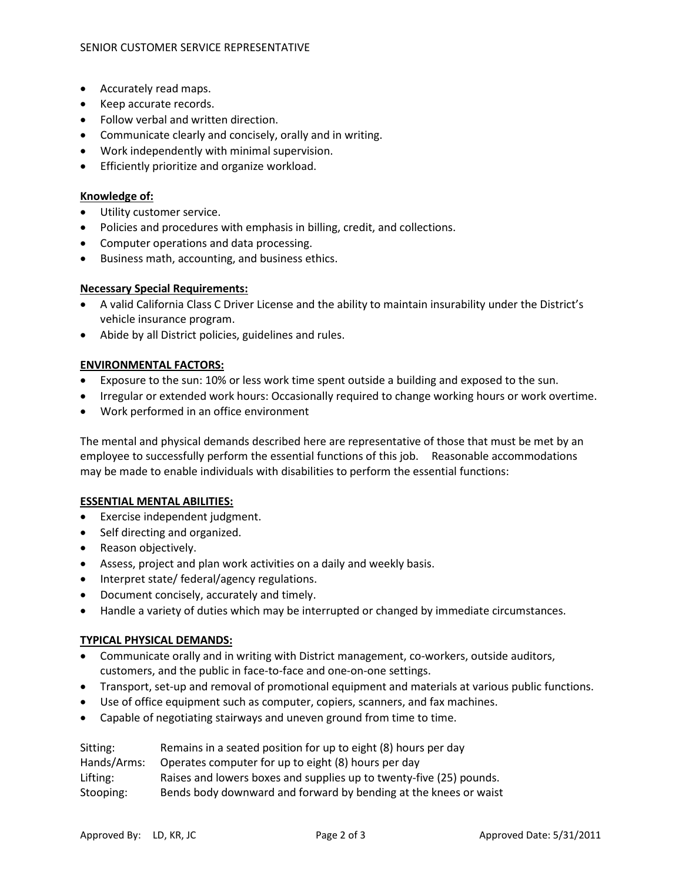- Accurately read maps.
- Keep accurate records.
- Follow verbal and written direction.
- Communicate clearly and concisely, orally and in writing.
- Work independently with minimal supervision.
- Efficiently prioritize and organize workload.

## **Knowledge of:**

- Utility customer service.
- Policies and procedures with emphasis in billing, credit, and collections.
- Computer operations and data processing.
- Business math, accounting, and business ethics.

## **Necessary Special Requirements:**

- A valid California Class C Driver License and the ability to maintain insurability under the District's vehicle insurance program.
- Abide by all District policies, guidelines and rules.

## **ENVIRONMENTAL FACTORS:**

- Exposure to the sun: 10% or less work time spent outside a building and exposed to the sun.
- Irregular or extended work hours: Occasionally required to change working hours or work overtime.
- Work performed in an office environment

The mental and physical demands described here are representative of those that must be met by an employee to successfully perform the essential functions of this job. Reasonable accommodations may be made to enable individuals with disabilities to perform the essential functions:

## **ESSENTIAL MENTAL ABILITIES:**

- Exercise independent judgment.
- Self directing and organized.
- Reason objectively.
- Assess, project and plan work activities on a daily and weekly basis.
- Interpret state/ federal/agency regulations.
- Document concisely, accurately and timely.
- Handle a variety of duties which may be interrupted or changed by immediate circumstances.

## **TYPICAL PHYSICAL DEMANDS:**

- Communicate orally and in writing with District management, co-workers, outside auditors, customers, and the public in face-to-face and one-on-one settings.
- Transport, set-up and removal of promotional equipment and materials at various public functions.
- Use of office equipment such as computer, copiers, scanners, and fax machines.
- Capable of negotiating stairways and uneven ground from time to time.

| Sitting:    | Remains in a seated position for up to eight (8) hours per day      |
|-------------|---------------------------------------------------------------------|
| Hands/Arms: | Operates computer for up to eight (8) hours per day                 |
| Lifting:    | Raises and lowers boxes and supplies up to twenty-five (25) pounds. |
| Stooping:   | Bends body downward and forward by bending at the knees or waist    |